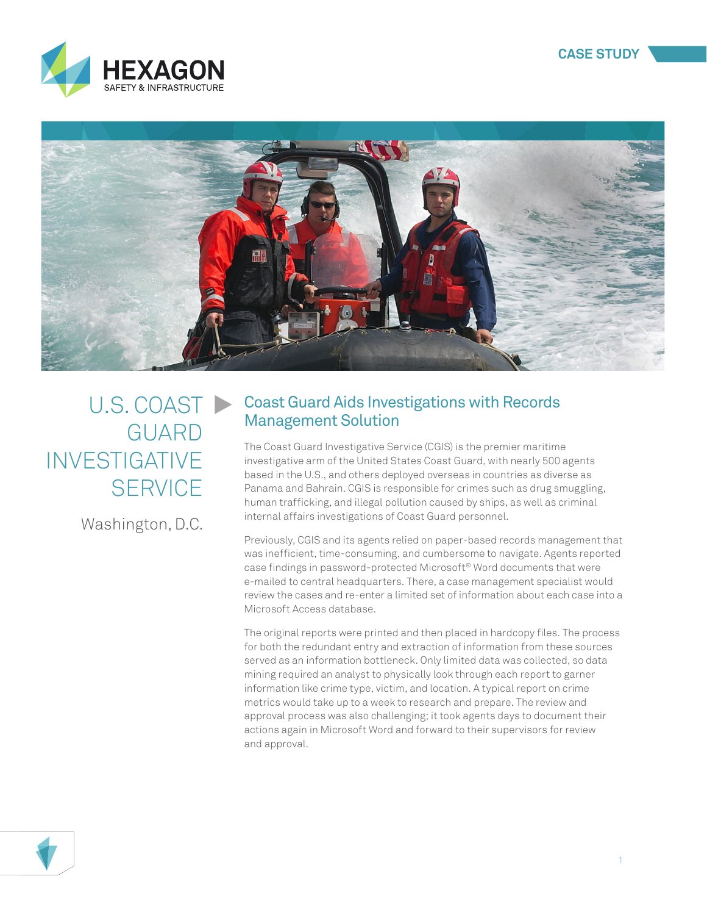



## U.S. COAST GUARD INVESTIGATIVE **SERVICE**

Washington, D.C.

### Coast Guard Aids Investigations with Records Management Solution

The Coast Guard Investigative Service (CGIS) is the premier maritime investigative arm of the United States Coast Guard, with nearly 500 agents based in the U.S., and others deployed overseas in countries as diverse as Panama and Bahrain. CGIS is responsible for crimes such as drug smuggling, human trafficking, and illegal pollution caused by ships, as well as criminal internal affairs investigations of Coast Guard personnel.

Previously, CGIS and its agents relied on paper-based records management that was inefficient, time-consuming, and cumbersome to navigate. Agents reported case findings in password-protected Microsoft® Word documents that were e-mailed to central headquarters. There, a case management specialist would review the cases and re-enter a limited set of information about each case into a Microsoft Access database.

The original reports were printed and then placed in hardcopy files. The process for both the redundant entry and extraction of information from these sources served as an information bottleneck. Only limited data was collected, so data mining required an analyst to physically look through each report to garner information like crime type, victim, and location. A typical report on crime metrics would take up to a week to research and prepare. The review and approval process was also challenging; it took agents days to document their actions again in Microsoft Word and forward to their supervisors for review and approval.

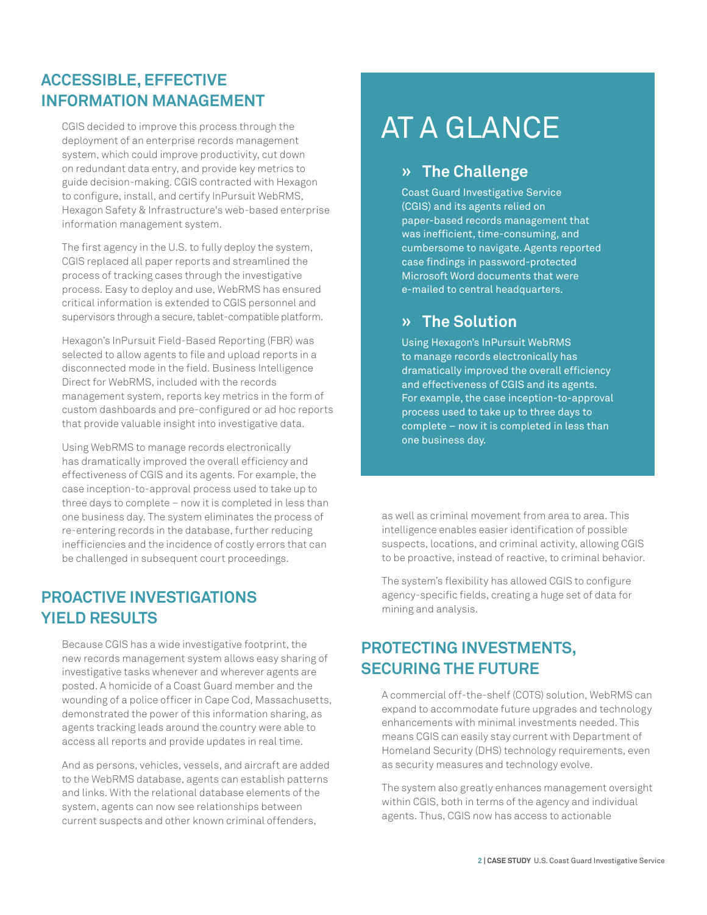### **ACCESSIBLE, EFFECTIVE INFORMATION MANAGEMENT**

CGIS decided to improve this process through the deployment of an enterprise records management system, which could improve productivity, cut down on redundant data entry, and provide key metrics to guide decision-making. CGIS contracted with Hexagon to configure, install, and certify InPursuit WebRMS, Hexagon Safety & Infrastructure's web-based enterprise information management system.

The first agency in the U.S. to fully deploy the system, CGIS replaced all paper reports and streamlined the process of tracking cases through the investigative process. Easy to deploy and use, WebRMS has ensured critical information is extended to CGIS personnel and supervisors through a secure, tablet-compatible platform.

Hexagon's InPursuit Field-Based Reporting (FBR) was selected to allow agents to file and upload reports in a disconnected mode in the field. Business Intelligence Direct for WebRMS, included with the records management system, reports key metrics in the form of custom dashboards and pre-configured or ad hoc reports that provide valuable insight into investigative data.

Using WebRMS to manage records electronically has dramatically improved the overall efficiency and effectiveness of CGIS and its agents. For example, the case inception-to-approval process used to take up to three days to complete – now it is completed in less than one business day. The system eliminates the process of re-entering records in the database, further reducing inefficiencies and the incidence of costly errors that can be challenged in subsequent court proceedings.

### **PROACTIVE INVESTIGATIONS YIELD RESULTS**

Because CGIS has a wide investigative footprint, the new records management system allows easy sharing of investigative tasks whenever and wherever agents are posted. A homicide of a Coast Guard member and the wounding of a police officer in Cape Cod, Massachusetts, demonstrated the power of this information sharing, as agents tracking leads around the country were able to access all reports and provide updates in real time.

And as persons, vehicles, vessels, and aircraft are added to the WebRMS database, agents can establish patterns and links. With the relational database elements of the system, agents can now see relationships between current suspects and other known criminal offenders,

# AT A GLANCE

#### **» The Challenge**

Coast Guard Investigative Service (CGIS) and its agents relied on paper-based records management that was inefficient, time-consuming, and cumbersome to navigate. Agents reported case findings in password-protected Microsoft Word documents that were e-mailed to central headquarters.

### **» The Solution**

Using Hexagon's InPursuit WebRMS to manage records electronically has dramatically improved the overall efficiency and effectiveness of CGIS and its agents. For example, the case inception-to-approval process used to take up to three days to complete – now it is completed in less than one business day.

as well as criminal movement from area to area. This intelligence enables easier identification of possible suspects, locations, and criminal activity, allowing CGIS to be proactive, instead of reactive, to criminal behavior.

The system's flexibility has allowed CGIS to configure agency-specific fields, creating a huge set of data for mining and analysis.

### **PROTECTING INVESTMENTS, SECURING THE FUTURE**

A commercial off-the-shelf (COTS) solution, WebRMS can expand to accommodate future upgrades and technology enhancements with minimal investments needed. This means CGIS can easily stay current with Department of Homeland Security (DHS) technology requirements, even as security measures and technology evolve.

The system also greatly enhances management oversight within CGIS, both in terms of the agency and individual agents. Thus, CGIS now has access to actionable